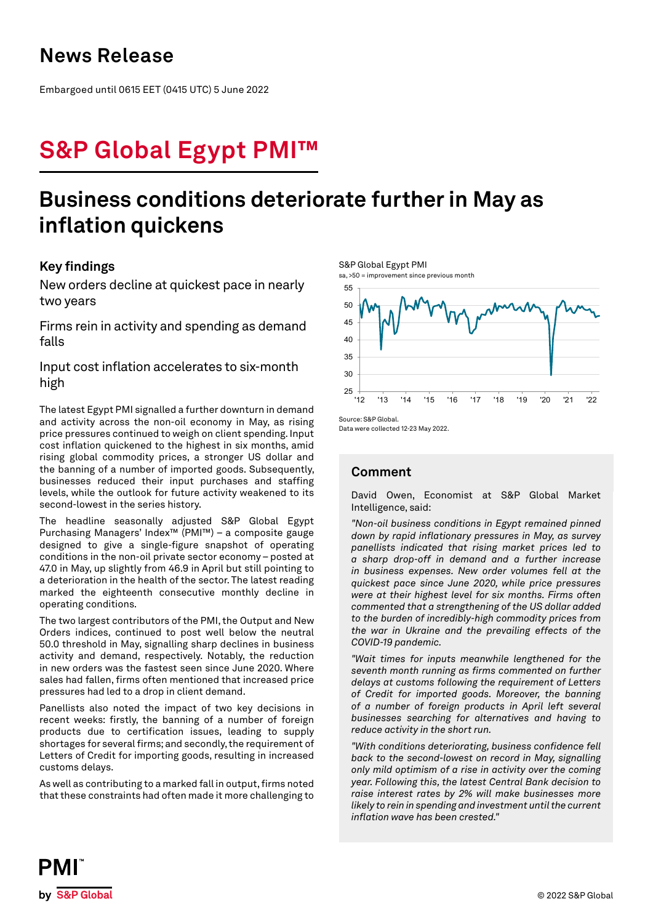## **News Release**

Embargoed until 0615 EET (0415 UTC) 5 June 2022

# **S&P Global Egypt PMI™**

# **Business conditions deteriorate further in May as inflation quickens**

## **Key findings**

New orders decline at quickest pace in nearly two years

Firms rein in activity and spending as demand falls

Input cost inflation accelerates to six-month high

The latest Egypt PMI signalled a further downturn in demand and activity across the non-oil economy in May, as rising price pressures continued to weigh on client spending. Input cost inflation quickened to the highest in six months, amid rising global commodity prices, a stronger US dollar and the banning of a number of imported goods. Subsequently, businesses reduced their input purchases and staffing levels, while the outlook for future activity weakened to its second-lowest in the series history.

The headline seasonally adjusted S&P Global Egypt Purchasing Managers' Index™ (PMI™) – a composite gauge designed to give a single-figure snapshot of operating conditions in the non-oil private sector economy – posted at 47.0 in May, up slightly from 46.9 in April but still pointing to a deterioration in the health of the sector. The latest reading marked the eighteenth consecutive monthly decline in operating conditions.

The two largest contributors of the PMI, the Output and New Orders indices, continued to post well below the neutral 50.0 threshold in May, signalling sharp declines in business activity and demand, respectively. Notably, the reduction in new orders was the fastest seen since June 2020. Where sales had fallen, firms often mentioned that increased price pressures had led to a drop in client demand.

Panellists also noted the impact of two key decisions in recent weeks: firstly, the banning of a number of foreign products due to certification issues, leading to supply shortages for several firms; and secondly, the requirement of Letters of Credit for importing goods, resulting in increased customs delays.

As well as contributing to a marked fall in output, firms noted that these constraints had often made it more challenging to



Data were collected 12-23 May 2022.

## **Comment**

David Owen, Economist at S&P Global Market Intelligence, said:

*"Non-oil business conditions in Egypt remained pinned down by rapid inflationary pressures in May, as survey panellists indicated that rising market prices led to a sharp drop-off in demand and a further increase in business expenses. New order volumes fell at the quickest pace since June 2020, while price pressures were at their highest level for six months. Firms often commented that a strengthening of the US dollar added to the burden of incredibly-high commodity prices from the war in Ukraine and the prevailing effects of the COVID-19 pandemic.*

*"Wait times for inputs meanwhile lengthened for the seventh month running as firms commented on further delays at customs following the requirement of Letters of Credit for imported goods. Moreover, the banning of a number of foreign products in April left several businesses searching for alternatives and having to reduce activity in the short run.* 

*"With conditions deteriorating, business confidence fell back to the second-lowest on record in May, signalling only mild optimism of a rise in activity over the coming year. Following this, the latest Central Bank decision to raise interest rates by 2% will make businesses more likely to rein in spending and investment until the current inflation wave has been crested."*